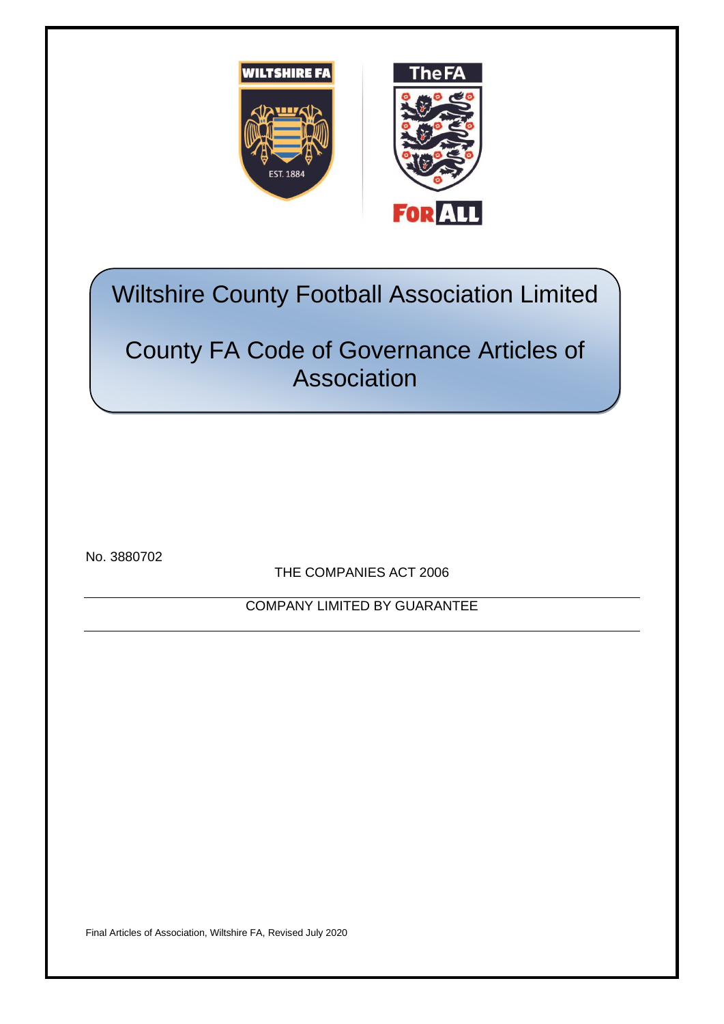

# Wiltshire County Football Association Limited

# County FA Code of Governance Articles of Association

No. 3880702

THE COMPANIES ACT 2006

COMPANY LIMITED BY GUARANTEE

Final Articles of Association, Wiltshire FA, Revised July 2020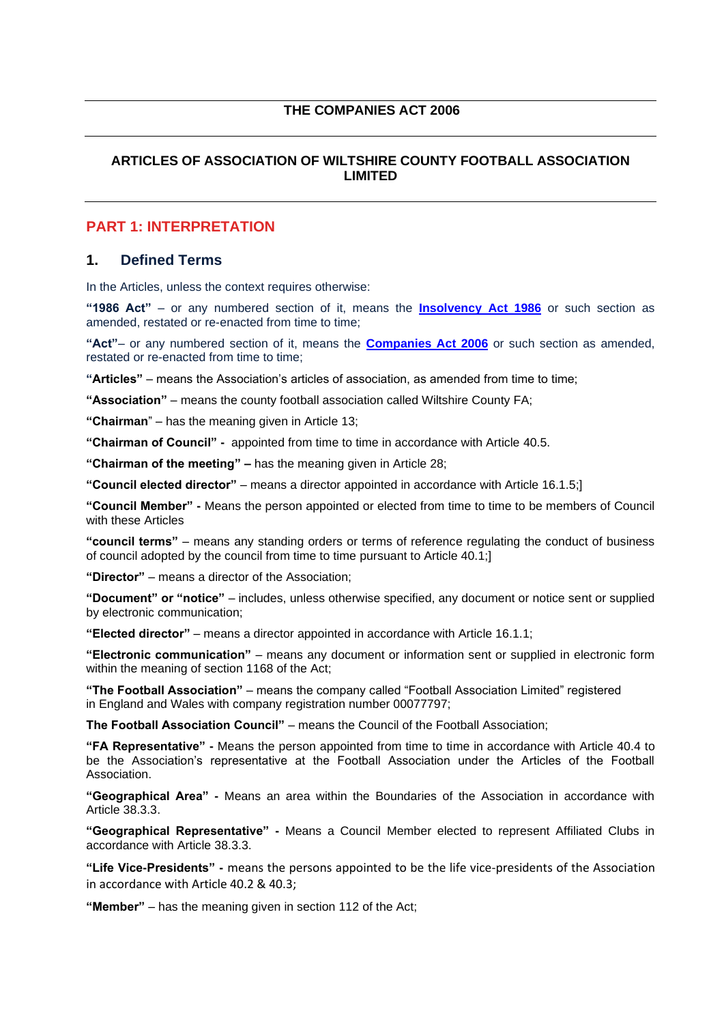#### **THE COMPANIES ACT 2006**

## **ARTICLES OF ASSOCIATION OF WILTSHIRE COUNTY FOOTBALL ASSOCIATION LIMITED**

# **PART 1: INTERPRETATION**

#### **1. Defined Terms**

In the Articles, unless the context requires otherwise:

**"1986 Act"** – or any numbered section of it, means the **[Insolvency Act 1986](http://www.legislation.gov.uk/ukpga/1986/45/contents)** or such section as amended, restated or re-enacted from time to time;

**"Act"**– or any numbered section of it, means the **[Companies Act 2006](http://www.legislation.gov.uk/ukpga/2006/46/contents)** or such section as amended, restated or re-enacted from time to time;

**"Articles"** – means the Association's articles of association, as amended from time to time;

**"Association"** – means the county football association called Wiltshire County FA;

**"Chairman**" – has the meaning given in Article 13;

**"Chairman of Council" -** appointed from time to time in accordance with Article 40.5.

**"Chairman of the meeting" –** has the meaning given in Article 28;

**"Council elected director"** – means a director appointed in accordance with Article 16.1.5;]

**"Council Member" -** Means the person appointed or elected from time to time to be members of Council with these Articles

**"council terms"** – means any standing orders or terms of reference regulating the conduct of business of council adopted by the council from time to time pursuant to Article 40.1;]

**"Director"** – means a director of the Association;

**"Document" or "notice"** – includes, unless otherwise specified, any document or notice sent or supplied by electronic communication;

**"Elected director"** – means a director appointed in accordance with Article 16.1.1;

**"Electronic communication"** – means any document or information sent or supplied in electronic form within the meaning of section 1168 of the Act;

**"The Football Association"** – means the company called "Football Association Limited" registered in England and Wales with company registration number 00077797;

**The Football Association Council"** – means the Council of the Football Association;

**"FA Representative" -** Means the person appointed from time to time in accordance with Article 40.4 to be the Association's representative at the Football Association under the Articles of the Football Association.

**"Geographical Area" -** Means an area within the Boundaries of the Association in accordance with Article 38.3.3.

**"Geographical Representative" -** Means a Council Member elected to represent Affiliated Clubs in accordance with Article 38.3.3.

**"Life Vice-Presidents" -** means the persons appointed to be the life vice-presidents of the Association in accordance with Article 40.2 & 40.3;

**"Member"** – has the meaning given in section 112 of the Act;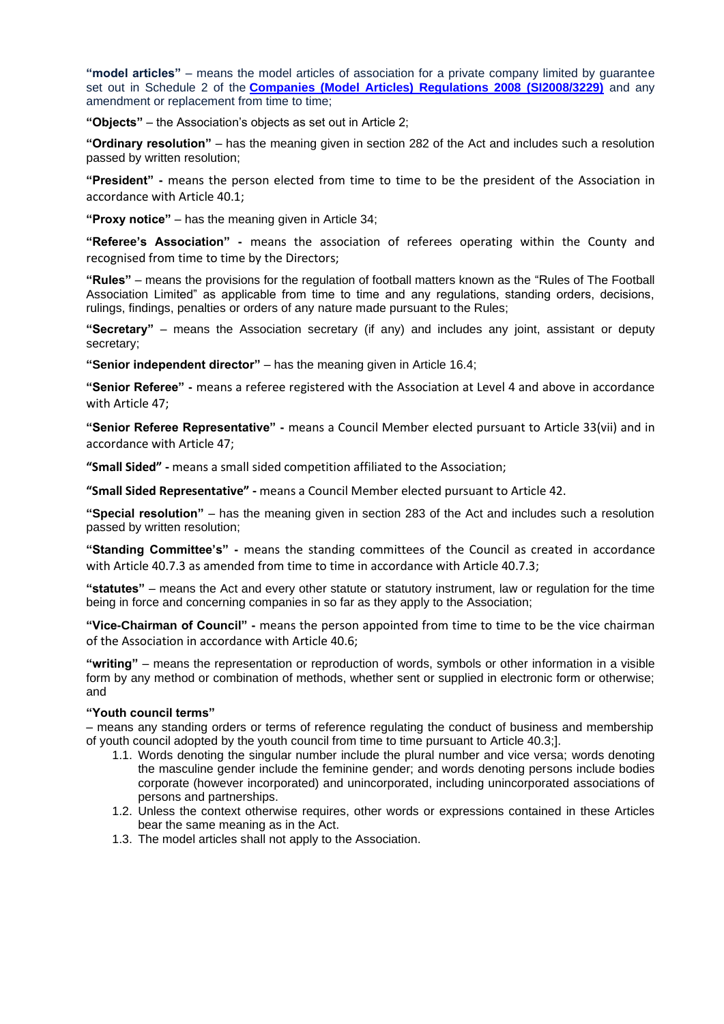**"model articles"** – means the model articles of association for a private company limited by guarantee set out in Schedule 2 of the **[Companies \(Model Articles\) Regulations 2008 \(SI2008/3229\)](https://www.gov.uk/guidance/model-articles-of-association-for-limited-companies)** and any amendment or replacement from time to time;

**"Objects"** – the Association's objects as set out in Article 2;

**"Ordinary resolution"** – has the meaning given in section 282 of the Act and includes such a resolution passed by written resolution;

**"President" -** means the person elected from time to time to be the president of the Association in accordance with Article 40.1;

**"Proxy notice"** – has the meaning given in Article 34;

**"Referee's Association" -** means the association of referees operating within the County and recognised from time to time by the Directors;

**"Rules"** – means the provisions for the regulation of football matters known as the "Rules of The Football Association Limited" as applicable from time to time and any regulations, standing orders, decisions, rulings, findings, penalties or orders of any nature made pursuant to the Rules;

**"Secretary"** – means the Association secretary (if any) and includes any joint, assistant or deputy secretary;

**"Senior independent director"** – has the meaning given in Article 16.4;

**"Senior Referee" -** means a referee registered with the Association at Level 4 and above in accordance with Article 47;

**"Senior Referee Representative" -** means a Council Member elected pursuant to Article 33(vii) and in accordance with Article 47;

**"Small Sided" -** means a small sided competition affiliated to the Association;

**"Small Sided Representative" -** means a Council Member elected pursuant to Article 42.

**"Special resolution"** – has the meaning given in section 283 of the Act and includes such a resolution passed by written resolution;

**"Standing Committee's" -** means the standing committees of the Council as created in accordance with Article 40.7.3 as amended from time to time in accordance with Article 40.7.3;

**"statutes"** – means the Act and every other statute or statutory instrument, law or regulation for the time being in force and concerning companies in so far as they apply to the Association;

**"Vice-Chairman of Council" -** means the person appointed from time to time to be the vice chairman of the Association in accordance with Article 40.6;

**"writing"** – means the representation or reproduction of words, symbols or other information in a visible form by any method or combination of methods, whether sent or supplied in electronic form or otherwise; and

#### **"Youth council terms"**

– means any standing orders or terms of reference regulating the conduct of business and membership of youth council adopted by the youth council from time to time pursuant to Article 40.3;].

- 1.1. Words denoting the singular number include the plural number and vice versa; words denoting the masculine gender include the feminine gender; and words denoting persons include bodies corporate (however incorporated) and unincorporated, including unincorporated associations of persons and partnerships.
- 1.2. Unless the context otherwise requires, other words or expressions contained in these Articles bear the same meaning as in the Act.
- 1.3. The model articles shall not apply to the Association.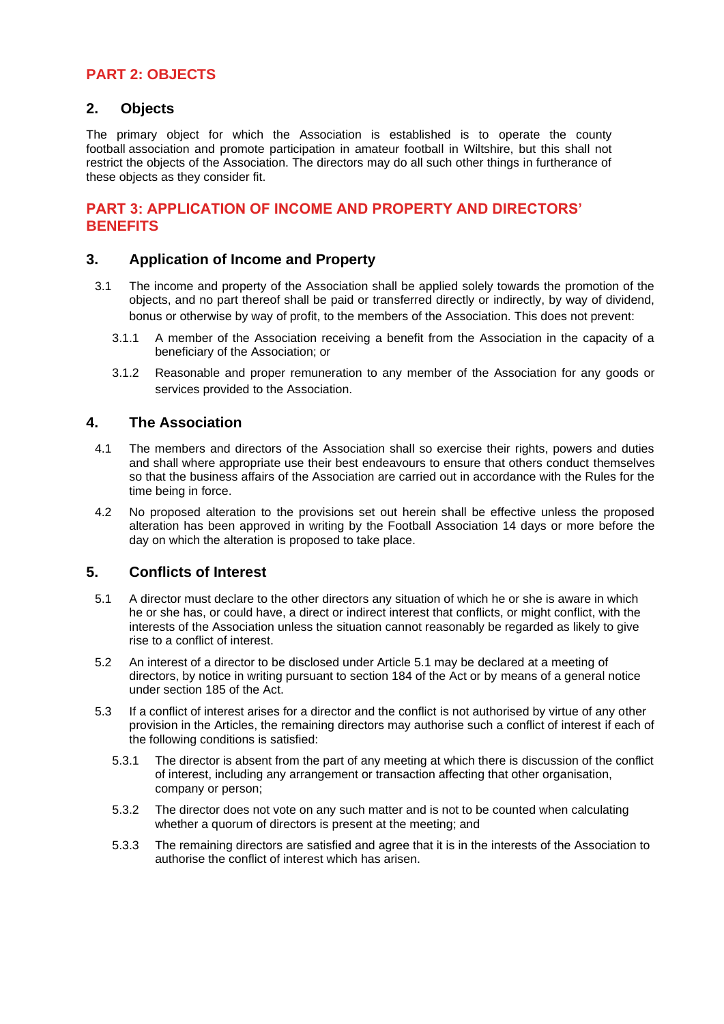# **PART 2: OBJECTS**

#### **2. Objects**

The primary object for which the Association is established is to operate the county football association and promote participation in amateur football in Wiltshire, but this shall not restrict the objects of the Association. The directors may do all such other things in furtherance of these objects as they consider fit.

# **PART 3: APPLICATION OF INCOME AND PROPERTY AND DIRECTORS' BENEFITS**

#### **3. Application of Income and Property**

- 3.1 The income and property of the Association shall be applied solely towards the promotion of the objects, and no part thereof shall be paid or transferred directly or indirectly, by way of dividend, bonus or otherwise by way of profit, to the members of the Association. This does not prevent:
	- 3.1.1 A member of the Association receiving a benefit from the Association in the capacity of a beneficiary of the Association; or
	- 3.1.2 Reasonable and proper remuneration to any member of the Association for any goods or services provided to the Association.

#### **4. The Association**

- 4.1 The members and directors of the Association shall so exercise their rights, powers and duties and shall where appropriate use their best endeavours to ensure that others conduct themselves so that the business affairs of the Association are carried out in accordance with the Rules for the time being in force.
- 4.2 No proposed alteration to the provisions set out herein shall be effective unless the proposed alteration has been approved in writing by the Football Association 14 days or more before the day on which the alteration is proposed to take place.

#### **5. Conflicts of Interest**

- 5.1 A director must declare to the other directors any situation of which he or she is aware in which he or she has, or could have, a direct or indirect interest that conflicts, or might conflict, with the interests of the Association unless the situation cannot reasonably be regarded as likely to give rise to a conflict of interest.
- 5.2 An interest of a director to be disclosed under Article 5.1 may be declared at a meeting of directors, by notice in writing pursuant to section 184 of the Act or by means of a general notice under section 185 of the Act.
- 5.3 If a conflict of interest arises for a director and the conflict is not authorised by virtue of any other provision in the Articles, the remaining directors may authorise such a conflict of interest if each of the following conditions is satisfied:
	- 5.3.1 The director is absent from the part of any meeting at which there is discussion of the conflict of interest, including any arrangement or transaction affecting that other organisation, company or person;
	- 5.3.2 The director does not vote on any such matter and is not to be counted when calculating whether a quorum of directors is present at the meeting; and
	- 5.3.3 The remaining directors are satisfied and agree that it is in the interests of the Association to authorise the conflict of interest which has arisen.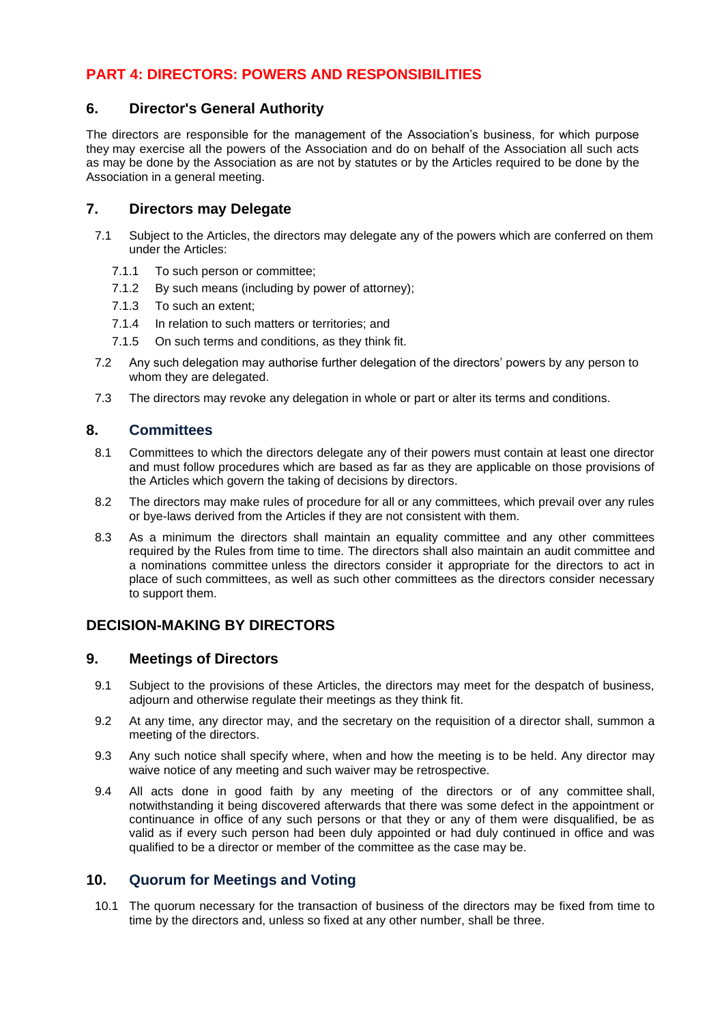# **PART 4: DIRECTORS: POWERS AND RESPONSIBILITIES**

#### **6. Director's General Authority**

The directors are responsible for the management of the Association's business, for which purpose they may exercise all the powers of the Association and do on behalf of the Association all such acts as may be done by the Association as are not by statutes or by the Articles required to be done by the Association in a general meeting.

## **7. Directors may Delegate**

- 7.1 Subject to the Articles, the directors may delegate any of the powers which are conferred on them under the Articles:
	- 7.1.1 To such person or committee;
	- 7.1.2 By such means (including by power of attorney);
	- 7.1.3 To such an extent;
	- 7.1.4 In relation to such matters or territories; and
	- 7.1.5 On such terms and conditions, as they think fit.
- 7.2 Any such delegation may authorise further delegation of the directors' powers by any person to whom they are delegated.
- 7.3 The directors may revoke any delegation in whole or part or alter its terms and conditions.

#### **8. Committees**

- 8.1 Committees to which the directors delegate any of their powers must contain at least one director and must follow procedures which are based as far as they are applicable on those provisions of the Articles which govern the taking of decisions by directors.
- 8.2 The directors may make rules of procedure for all or any committees, which prevail over any rules or bye-laws derived from the Articles if they are not consistent with them.
- 8.3 As a minimum the directors shall maintain an equality committee and any other committees required by the Rules from time to time. The directors shall also maintain an audit committee and a nominations committee unless the directors consider it appropriate for the directors to act in place of such committees, as well as such other committees as the directors consider necessary to support them.

# **DECISION-MAKING BY DIRECTORS**

#### **9. Meetings of Directors**

- 9.1 Subject to the provisions of these Articles, the directors may meet for the despatch of business, adjourn and otherwise regulate their meetings as they think fit.
- 9.2 At any time, any director may, and the secretary on the requisition of a director shall, summon a meeting of the directors.
- 9.3 Any such notice shall specify where, when and how the meeting is to be held. Any director may waive notice of any meeting and such waiver may be retrospective.
- 9.4 All acts done in good faith by any meeting of the directors or of any committee shall, notwithstanding it being discovered afterwards that there was some defect in the appointment or continuance in office of any such persons or that they or any of them were disqualified, be as valid as if every such person had been duly appointed or had duly continued in office and was qualified to be a director or member of the committee as the case may be.

# **10. Quorum for Meetings and Voting**

10.1 The quorum necessary for the transaction of business of the directors may be fixed from time to time by the directors and, unless so fixed at any other number, shall be three.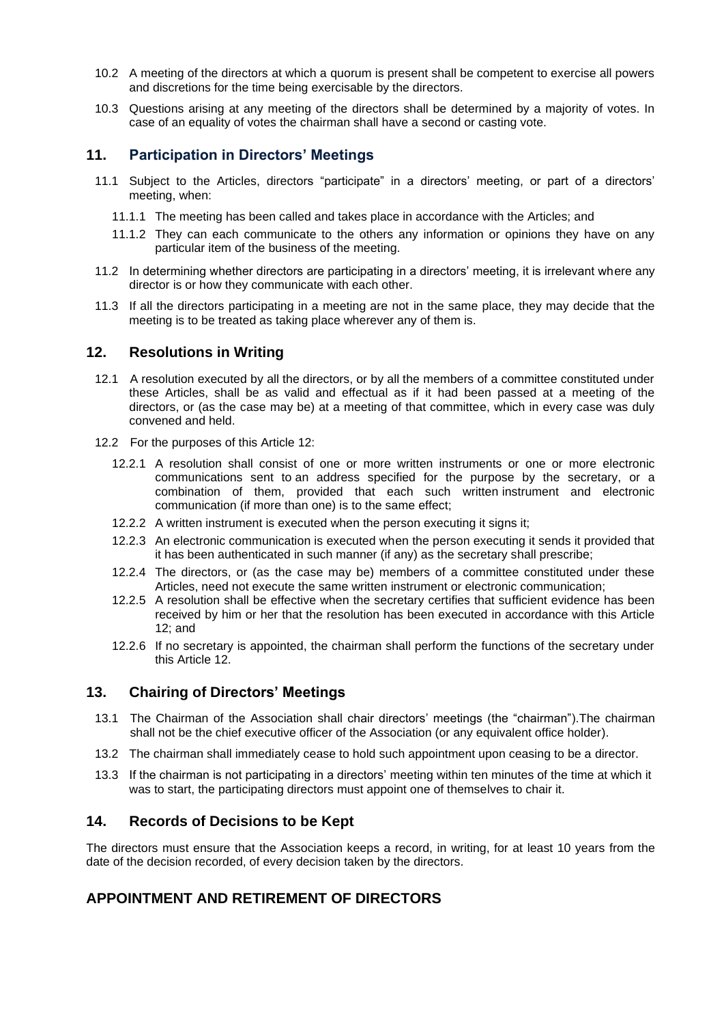- 10.2 A meeting of the directors at which a quorum is present shall be competent to exercise all powers and discretions for the time being exercisable by the directors.
- 10.3 Questions arising at any meeting of the directors shall be determined by a majority of votes. In case of an equality of votes the chairman shall have a second or casting vote.

#### **11. Participation in Directors' Meetings**

- 11.1 Subject to the Articles, directors "participate" in a directors' meeting, or part of a directors' meeting, when:
	- 11.1.1 The meeting has been called and takes place in accordance with the Articles; and
	- 11.1.2 They can each communicate to the others any information or opinions they have on any particular item of the business of the meeting.
- 11.2 In determining whether directors are participating in a directors' meeting, it is irrelevant where any director is or how they communicate with each other.
- 11.3 If all the directors participating in a meeting are not in the same place, they may decide that the meeting is to be treated as taking place wherever any of them is.

#### **12. Resolutions in Writing**

- 12.1 A resolution executed by all the directors, or by all the members of a committee constituted under these Articles, shall be as valid and effectual as if it had been passed at a meeting of the directors, or (as the case may be) at a meeting of that committee, which in every case was duly convened and held.
- 12.2 For the purposes of this Article 12:
	- 12.2.1 A resolution shall consist of one or more written instruments or one or more electronic communications sent to an address specified for the purpose by the secretary, or a combination of them, provided that each such written instrument and electronic communication (if more than one) is to the same effect;
	- 12.2.2 A written instrument is executed when the person executing it signs it;
	- 12.2.3 An electronic communication is executed when the person executing it sends it provided that it has been authenticated in such manner (if any) as the secretary shall prescribe;
	- 12.2.4 The directors, or (as the case may be) members of a committee constituted under these Articles, need not execute the same written instrument or electronic communication;
	- 12.2.5 A resolution shall be effective when the secretary certifies that sufficient evidence has been received by him or her that the resolution has been executed in accordance with this Article 12; and
	- 12.2.6 If no secretary is appointed, the chairman shall perform the functions of the secretary under this Article 12.

#### **13. Chairing of Directors' Meetings**

- 13.1 The Chairman of the Association shall chair directors' meetings (the "chairman").The chairman shall not be the chief executive officer of the Association (or any equivalent office holder).
- 13.2 The chairman shall immediately cease to hold such appointment upon ceasing to be a director.
- 13.3 If the chairman is not participating in a directors' meeting within ten minutes of the time at which it was to start, the participating directors must appoint one of themselves to chair it.

#### **14. Records of Decisions to be Kept**

The directors must ensure that the Association keeps a record, in writing, for at least 10 years from the date of the decision recorded, of every decision taken by the directors.

# **APPOINTMENT AND RETIREMENT OF DIRECTORS**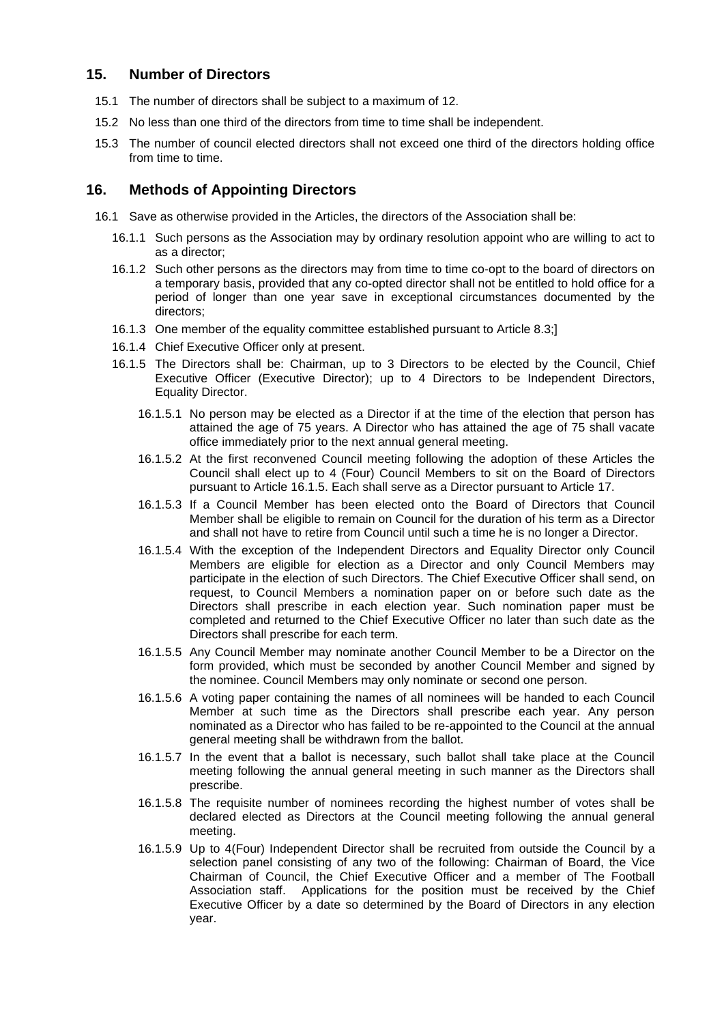# **15. Number of Directors**

- 15.1 The number of directors shall be subject to a maximum of 12.
- 15.2 No less than one third of the directors from time to time shall be independent.
- 15.3 The number of council elected directors shall not exceed one third of the directors holding office from time to time.

## **16. Methods of Appointing Directors**

- 16.1 Save as otherwise provided in the Articles, the directors of the Association shall be:
	- 16.1.1 Such persons as the Association may by ordinary resolution appoint who are willing to act to as a director;
	- 16.1.2 Such other persons as the directors may from time to time co-opt to the board of directors on a temporary basis, provided that any co-opted director shall not be entitled to hold office for a period of longer than one year save in exceptional circumstances documented by the directors;
	- 16.1.3 One member of the equality committee established pursuant to Article 8.3;]
	- 16.1.4 Chief Executive Officer only at present.
	- 16.1.5 The Directors shall be: Chairman, up to 3 Directors to be elected by the Council, Chief Executive Officer (Executive Director); up to 4 Directors to be Independent Directors, Equality Director.
		- 16.1.5.1 No person may be elected as a Director if at the time of the election that person has attained the age of 75 years. A Director who has attained the age of 75 shall vacate office immediately prior to the next annual general meeting.
		- 16.1.5.2 At the first reconvened Council meeting following the adoption of these Articles the Council shall elect up to 4 (Four) Council Members to sit on the Board of Directors pursuant to Article 16.1.5. Each shall serve as a Director pursuant to Article 17.
		- 16.1.5.3 If a Council Member has been elected onto the Board of Directors that Council Member shall be eligible to remain on Council for the duration of his term as a Director and shall not have to retire from Council until such a time he is no longer a Director.
		- 16.1.5.4 With the exception of the Independent Directors and Equality Director only Council Members are eligible for election as a Director and only Council Members may participate in the election of such Directors. The Chief Executive Officer shall send, on request, to Council Members a nomination paper on or before such date as the Directors shall prescribe in each election year. Such nomination paper must be completed and returned to the Chief Executive Officer no later than such date as the Directors shall prescribe for each term.
		- 16.1.5.5 Any Council Member may nominate another Council Member to be a Director on the form provided, which must be seconded by another Council Member and signed by the nominee. Council Members may only nominate or second one person.
		- 16.1.5.6 A voting paper containing the names of all nominees will be handed to each Council Member at such time as the Directors shall prescribe each year. Any person nominated as a Director who has failed to be re-appointed to the Council at the annual general meeting shall be withdrawn from the ballot.
		- 16.1.5.7 In the event that a ballot is necessary, such ballot shall take place at the Council meeting following the annual general meeting in such manner as the Directors shall prescribe.
		- 16.1.5.8 The requisite number of nominees recording the highest number of votes shall be declared elected as Directors at the Council meeting following the annual general meeting.
		- 16.1.5.9 Up to 4(Four) Independent Director shall be recruited from outside the Council by a selection panel consisting of any two of the following: Chairman of Board, the Vice Chairman of Council, the Chief Executive Officer and a member of The Football Association staff. Applications for the position must be received by the Chief Executive Officer by a date so determined by the Board of Directors in any election year.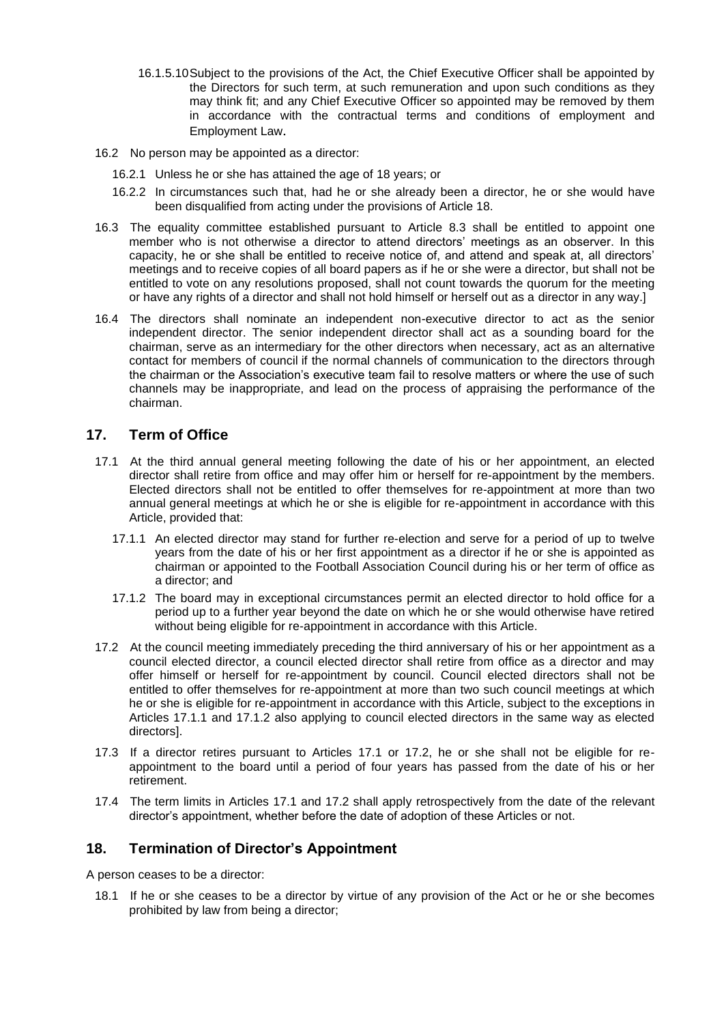- 16.1.5.10Subject to the provisions of the Act, the Chief Executive Officer shall be appointed by the Directors for such term, at such remuneration and upon such conditions as they may think fit; and any Chief Executive Officer so appointed may be removed by them in accordance with the contractual terms and conditions of employment and Employment Law.
- 16.2 No person may be appointed as a director:
	- 16.2.1 Unless he or she has attained the age of 18 years; or
	- 16.2.2 In circumstances such that, had he or she already been a director, he or she would have been disqualified from acting under the provisions of Article 18.
- 16.3 The equality committee established pursuant to Article 8.3 shall be entitled to appoint one member who is not otherwise a director to attend directors' meetings as an observer. In this capacity, he or she shall be entitled to receive notice of, and attend and speak at, all directors' meetings and to receive copies of all board papers as if he or she were a director, but shall not be entitled to vote on any resolutions proposed, shall not count towards the quorum for the meeting or have any rights of a director and shall not hold himself or herself out as a director in any way.]
- 16.4 The directors shall nominate an independent non-executive director to act as the senior independent director. The senior independent director shall act as a sounding board for the chairman, serve as an intermediary for the other directors when necessary, act as an alternative contact for members of council if the normal channels of communication to the directors through the chairman or the Association's executive team fail to resolve matters or where the use of such channels may be inappropriate, and lead on the process of appraising the performance of the chairman.

#### **17. Term of Office**

- 17.1 At the third annual general meeting following the date of his or her appointment, an elected director shall retire from office and may offer him or herself for re-appointment by the members. Elected directors shall not be entitled to offer themselves for re-appointment at more than two annual general meetings at which he or she is eligible for re-appointment in accordance with this Article, provided that:
	- 17.1.1 An elected director may stand for further re-election and serve for a period of up to twelve years from the date of his or her first appointment as a director if he or she is appointed as chairman or appointed to the Football Association Council during his or her term of office as a director; and
	- 17.1.2 The board may in exceptional circumstances permit an elected director to hold office for a period up to a further year beyond the date on which he or she would otherwise have retired without being eligible for re-appointment in accordance with this Article.
- 17.2 At the council meeting immediately preceding the third anniversary of his or her appointment as a council elected director, a council elected director shall retire from office as a director and may offer himself or herself for re-appointment by council. Council elected directors shall not be entitled to offer themselves for re-appointment at more than two such council meetings at which he or she is eligible for re-appointment in accordance with this Article, subject to the exceptions in Articles 17.1.1 and 17.1.2 also applying to council elected directors in the same way as elected directors].
- 17.3 If a director retires pursuant to Articles 17.1 or 17.2, he or she shall not be eligible for reappointment to the board until a period of four years has passed from the date of his or her retirement.
- 17.4 The term limits in Articles 17.1 and 17.2 shall apply retrospectively from the date of the relevant director's appointment, whether before the date of adoption of these Articles or not.

#### **18. Termination of Director's Appointment**

A person ceases to be a director:

18.1 If he or she ceases to be a director by virtue of any provision of the Act or he or she becomes prohibited by law from being a director;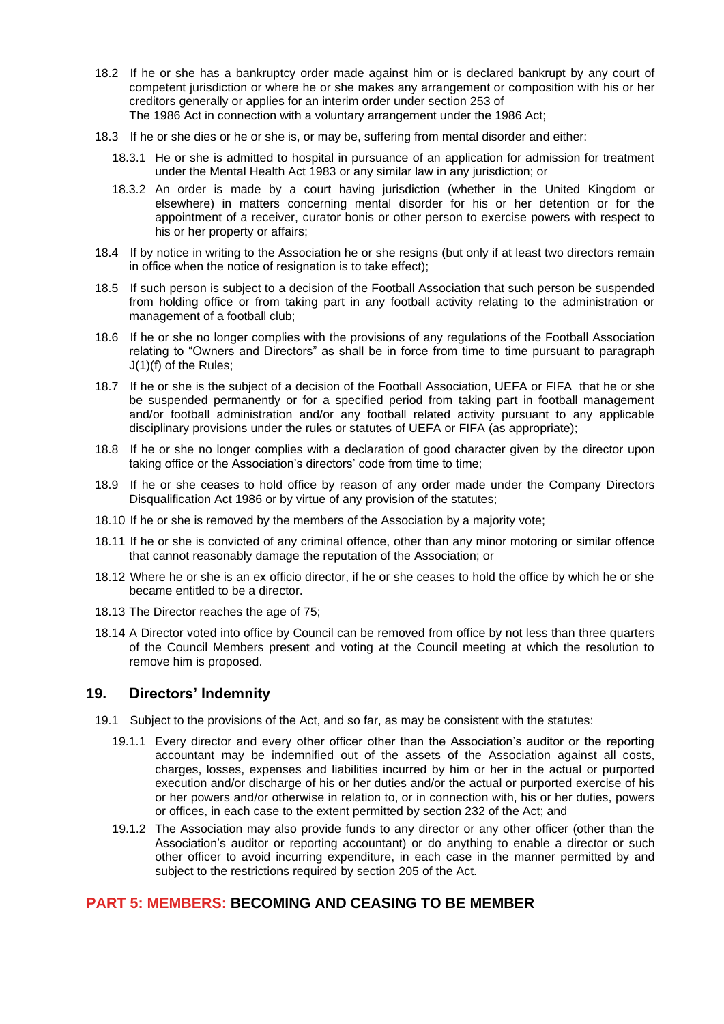- 18.2 If he or she has a bankruptcy order made against him or is declared bankrupt by any court of competent jurisdiction or where he or she makes any arrangement or composition with his or her creditors generally or applies for an interim order under section 253 of The 1986 Act in connection with a voluntary arrangement under the 1986 Act;
- 18.3 If he or she dies or he or she is, or may be, suffering from mental disorder and either:
	- 18.3.1 He or she is admitted to hospital in pursuance of an application for admission for treatment under the Mental Health Act 1983 or any similar law in any jurisdiction; or
	- 18.3.2 An order is made by a court having jurisdiction (whether in the United Kingdom or elsewhere) in matters concerning mental disorder for his or her detention or for the appointment of a receiver, curator bonis or other person to exercise powers with respect to his or her property or affairs;
- 18.4 If by notice in writing to the Association he or she resigns (but only if at least two directors remain in office when the notice of resignation is to take effect);
- 18.5 If such person is subject to a decision of the Football Association that such person be suspended from holding office or from taking part in any football activity relating to the administration or management of a football club;
- 18.6 If he or she no longer complies with the provisions of any regulations of the Football Association relating to "Owners and Directors" as shall be in force from time to time pursuant to paragraph J(1)(f) of the Rules;
- 18.7 If he or she is the subject of a decision of the Football Association, UEFA or FIFA that he or she be suspended permanently or for a specified period from taking part in football management and/or football administration and/or any football related activity pursuant to any applicable disciplinary provisions under the rules or statutes of UEFA or FIFA (as appropriate);
- 18.8 If he or she no longer complies with a declaration of good character given by the director upon taking office or the Association's directors' code from time to time;
- 18.9 If he or she ceases to hold office by reason of any order made under the Company Directors Disqualification Act 1986 or by virtue of any provision of the statutes;
- 18.10 If he or she is removed by the members of the Association by a majority vote;
- 18.11 If he or she is convicted of any criminal offence, other than any minor motoring or similar offence that cannot reasonably damage the reputation of the Association; or
- 18.12 Where he or she is an ex officio director, if he or she ceases to hold the office by which he or she became entitled to be a director.
- 18.13 The Director reaches the age of 75;
- 18.14 A Director voted into office by Council can be removed from office by not less than three quarters of the Council Members present and voting at the Council meeting at which the resolution to remove him is proposed.

#### **19. Directors' Indemnity**

- 19.1 Subject to the provisions of the Act, and so far, as may be consistent with the statutes:
	- 19.1.1 Every director and every other officer other than the Association's auditor or the reporting accountant may be indemnified out of the assets of the Association against all costs, charges, losses, expenses and liabilities incurred by him or her in the actual or purported execution and/or discharge of his or her duties and/or the actual or purported exercise of his or her powers and/or otherwise in relation to, or in connection with, his or her duties, powers or offices, in each case to the extent permitted by section 232 of the Act; and
	- 19.1.2 The Association may also provide funds to any director or any other officer (other than the Association's auditor or reporting accountant) or do anything to enable a director or such other officer to avoid incurring expenditure, in each case in the manner permitted by and subject to the restrictions required by section 205 of the Act.

# **PART 5: MEMBERS: BECOMING AND CEASING TO BE MEMBER**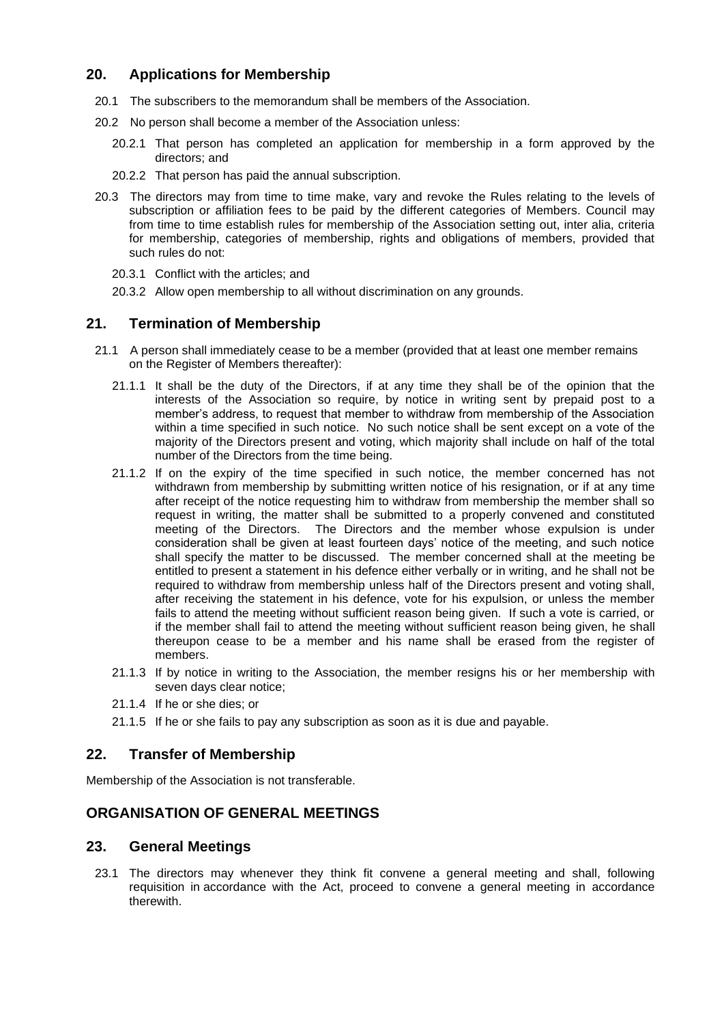## **20. Applications for Membership**

- 20.1 The subscribers to the memorandum shall be members of the Association.
- 20.2 No person shall become a member of the Association unless:
	- 20.2.1 That person has completed an application for membership in a form approved by the directors; and
	- 20.2.2 That person has paid the annual subscription.
- 20.3 The directors may from time to time make, vary and revoke the Rules relating to the levels of subscription or affiliation fees to be paid by the different categories of Members. Council may from time to time establish rules for membership of the Association setting out, inter alia, criteria for membership, categories of membership, rights and obligations of members, provided that such rules do not:
	- 20.3.1 Conflict with the articles; and
	- 20.3.2 Allow open membership to all without discrimination on any grounds.

# **21. Termination of Membership**

- 21.1 A person shall immediately cease to be a member (provided that at least one member remains on the Register of Members thereafter):
	- 21.1.1 It shall be the duty of the Directors, if at any time they shall be of the opinion that the interests of the Association so require, by notice in writing sent by prepaid post to a member's address, to request that member to withdraw from membership of the Association within a time specified in such notice. No such notice shall be sent except on a vote of the majority of the Directors present and voting, which majority shall include on half of the total number of the Directors from the time being.
	- 21.1.2 If on the expiry of the time specified in such notice, the member concerned has not withdrawn from membership by submitting written notice of his resignation, or if at any time after receipt of the notice requesting him to withdraw from membership the member shall so request in writing, the matter shall be submitted to a properly convened and constituted meeting of the Directors. The Directors and the member whose expulsion is under consideration shall be given at least fourteen days' notice of the meeting, and such notice shall specify the matter to be discussed. The member concerned shall at the meeting be entitled to present a statement in his defence either verbally or in writing, and he shall not be required to withdraw from membership unless half of the Directors present and voting shall, after receiving the statement in his defence, vote for his expulsion, or unless the member fails to attend the meeting without sufficient reason being given. If such a vote is carried, or if the member shall fail to attend the meeting without sufficient reason being given, he shall thereupon cease to be a member and his name shall be erased from the register of members.
	- 21.1.3 If by notice in writing to the Association, the member resigns his or her membership with seven days clear notice;
	- 21.1.4 If he or she dies; or
	- 21.1.5 If he or she fails to pay any subscription as soon as it is due and payable.

#### **22. Transfer of Membership**

Membership of the Association is not transferable.

#### **ORGANISATION OF GENERAL MEETINGS**

#### **23. General Meetings**

23.1 The directors may whenever they think fit convene a general meeting and shall, following requisition in accordance with the Act, proceed to convene a general meeting in accordance therewith.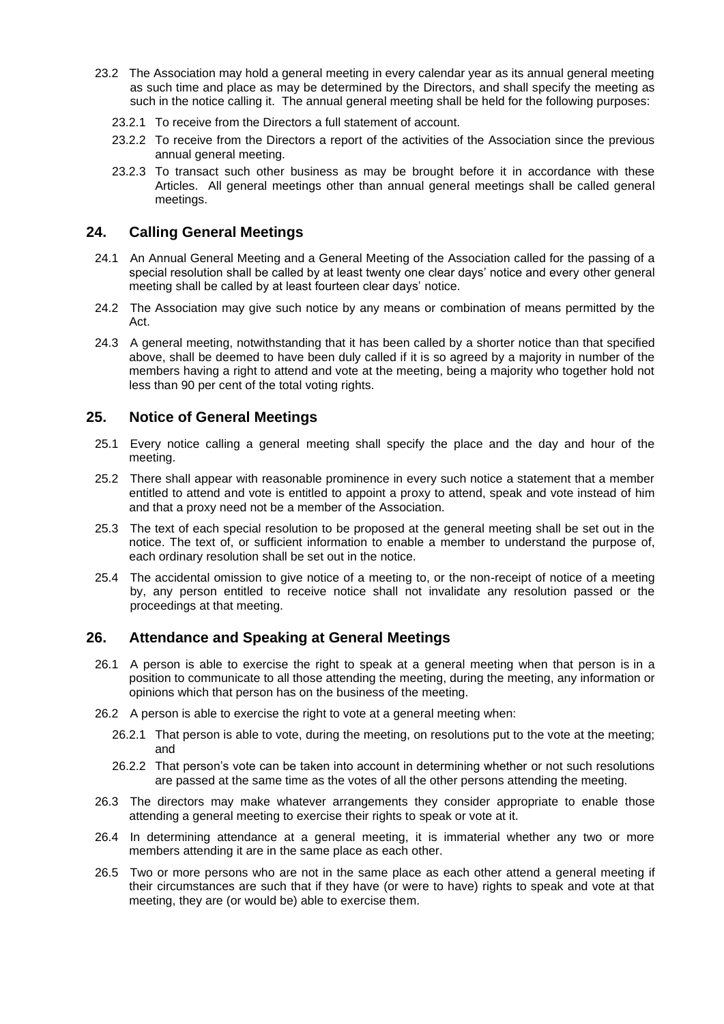- 23.2 The Association may hold a general meeting in every calendar year as its annual general meeting as such time and place as may be determined by the Directors, and shall specify the meeting as such in the notice calling it. The annual general meeting shall be held for the following purposes:
	- 23.2.1 To receive from the Directors a full statement of account.
	- 23.2.2 To receive from the Directors a report of the activities of the Association since the previous annual general meeting.
	- 23.2.3 To transact such other business as may be brought before it in accordance with these Articles. All general meetings other than annual general meetings shall be called general meetings.

# **24. Calling General Meetings**

- 24.1 An Annual General Meeting and a General Meeting of the Association called for the passing of a special resolution shall be called by at least twenty one clear days' notice and every other general meeting shall be called by at least fourteen clear days' notice.
- 24.2 The Association may give such notice by any means or combination of means permitted by the Act.
- 24.3 A general meeting, notwithstanding that it has been called by a shorter notice than that specified above, shall be deemed to have been duly called if it is so agreed by a majority in number of the members having a right to attend and vote at the meeting, being a majority who together hold not less than 90 per cent of the total voting rights.

# **25. Notice of General Meetings**

- 25.1 Every notice calling a general meeting shall specify the place and the day and hour of the meeting.
- 25.2 There shall appear with reasonable prominence in every such notice a statement that a member entitled to attend and vote is entitled to appoint a proxy to attend, speak and vote instead of him and that a proxy need not be a member of the Association.
- 25.3 The text of each special resolution to be proposed at the general meeting shall be set out in the notice. The text of, or sufficient information to enable a member to understand the purpose of, each ordinary resolution shall be set out in the notice.
- 25.4 The accidental omission to give notice of a meeting to, or the non-receipt of notice of a meeting by, any person entitled to receive notice shall not invalidate any resolution passed or the proceedings at that meeting.

#### **26. Attendance and Speaking at General Meetings**

- 26.1 A person is able to exercise the right to speak at a general meeting when that person is in a position to communicate to all those attending the meeting, during the meeting, any information or opinions which that person has on the business of the meeting.
- 26.2 A person is able to exercise the right to vote at a general meeting when:
	- 26.2.1 That person is able to vote, during the meeting, on resolutions put to the vote at the meeting; and
	- 26.2.2 That person's vote can be taken into account in determining whether or not such resolutions are passed at the same time as the votes of all the other persons attending the meeting.
- 26.3 The directors may make whatever arrangements they consider appropriate to enable those attending a general meeting to exercise their rights to speak or vote at it.
- 26.4 In determining attendance at a general meeting, it is immaterial whether any two or more members attending it are in the same place as each other.
- 26.5 Two or more persons who are not in the same place as each other attend a general meeting if their circumstances are such that if they have (or were to have) rights to speak and vote at that meeting, they are (or would be) able to exercise them.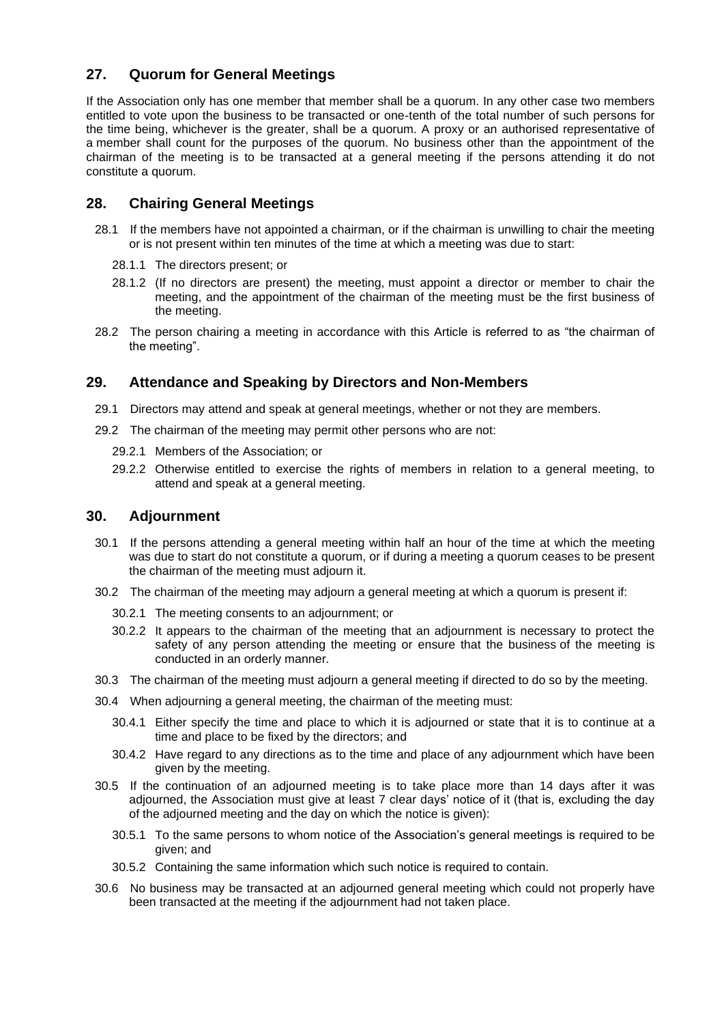# **27. Quorum for General Meetings**

If the Association only has one member that member shall be a quorum. In any other case two members entitled to vote upon the business to be transacted or one-tenth of the total number of such persons for the time being, whichever is the greater, shall be a quorum. A proxy or an authorised representative of a member shall count for the purposes of the quorum. No business other than the appointment of the chairman of the meeting is to be transacted at a general meeting if the persons attending it do not constitute a quorum.

# **28. Chairing General Meetings**

- 28.1 If the members have not appointed a chairman, or if the chairman is unwilling to chair the meeting or is not present within ten minutes of the time at which a meeting was due to start:
	- 28.1.1 The directors present; or
	- 28.1.2 (If no directors are present) the meeting, must appoint a director or member to chair the meeting, and the appointment of the chairman of the meeting must be the first business of the meeting.
- 28.2 The person chairing a meeting in accordance with this Article is referred to as "the chairman of the meeting".

#### **29. Attendance and Speaking by Directors and Non-Members**

- 29.1 Directors may attend and speak at general meetings, whether or not they are members.
- 29.2 The chairman of the meeting may permit other persons who are not:
	- 29.2.1 Members of the Association; or
	- 29.2.2 Otherwise entitled to exercise the rights of members in relation to a general meeting, to attend and speak at a general meeting.

#### **30. Adjournment**

- 30.1 If the persons attending a general meeting within half an hour of the time at which the meeting was due to start do not constitute a quorum, or if during a meeting a quorum ceases to be present the chairman of the meeting must adjourn it.
- 30.2 The chairman of the meeting may adjourn a general meeting at which a quorum is present if:
	- 30.2.1 The meeting consents to an adjournment; or
	- 30.2.2 It appears to the chairman of the meeting that an adjournment is necessary to protect the safety of any person attending the meeting or ensure that the business of the meeting is conducted in an orderly manner.
- 30.3 The chairman of the meeting must adjourn a general meeting if directed to do so by the meeting.
- 30.4 When adjourning a general meeting, the chairman of the meeting must:
	- 30.4.1 Either specify the time and place to which it is adjourned or state that it is to continue at a time and place to be fixed by the directors; and
	- 30.4.2 Have regard to any directions as to the time and place of any adjournment which have been given by the meeting.
- 30.5 If the continuation of an adjourned meeting is to take place more than 14 days after it was adjourned, the Association must give at least 7 clear days' notice of it (that is, excluding the day of the adjourned meeting and the day on which the notice is given):
	- 30.5.1 To the same persons to whom notice of the Association's general meetings is required to be given; and
	- 30.5.2 Containing the same information which such notice is required to contain.
- 30.6 No business may be transacted at an adjourned general meeting which could not properly have been transacted at the meeting if the adjournment had not taken place.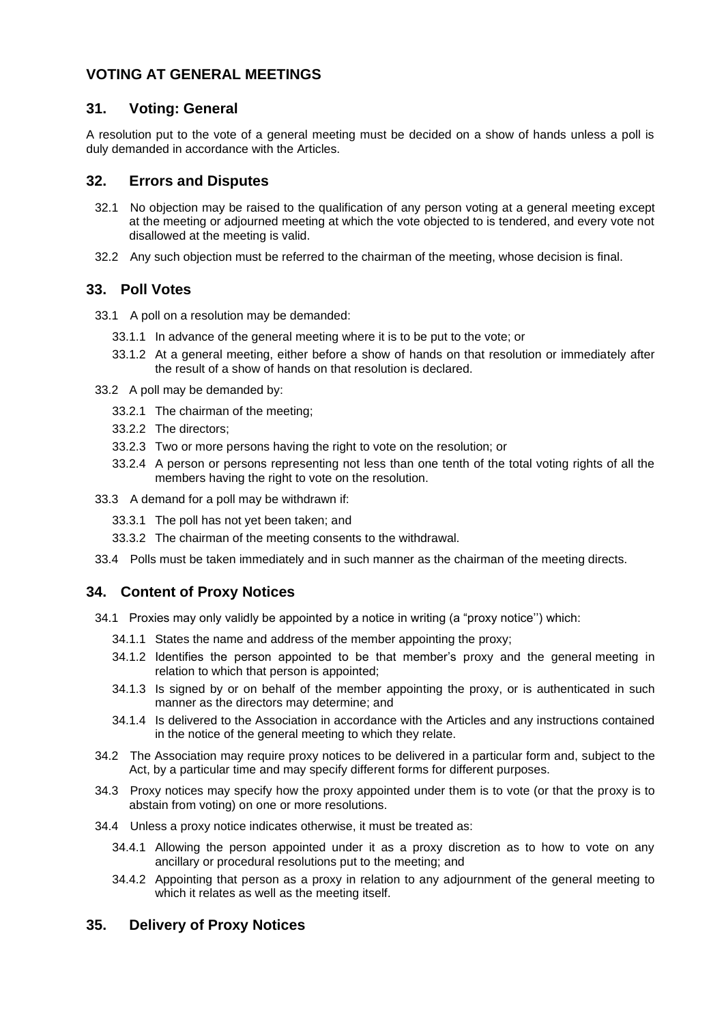# **VOTING AT GENERAL MEETINGS**

## **31. Voting: General**

A resolution put to the vote of a general meeting must be decided on a show of hands unless a poll is duly demanded in accordance with the Articles.

## **32. Errors and Disputes**

- 32.1 No objection may be raised to the qualification of any person voting at a general meeting except at the meeting or adjourned meeting at which the vote objected to is tendered, and every vote not disallowed at the meeting is valid.
- 32.2 Any such objection must be referred to the chairman of the meeting, whose decision is final.

# **33. Poll Votes**

- 33.1 A poll on a resolution may be demanded:
	- 33.1.1 In advance of the general meeting where it is to be put to the vote; or
	- 33.1.2 At a general meeting, either before a show of hands on that resolution or immediately after the result of a show of hands on that resolution is declared.
- 33.2 A poll may be demanded by:
	- 33.2.1 The chairman of the meeting;
	- 33.2.2 The directors;
	- 33.2.3 Two or more persons having the right to vote on the resolution; or
	- 33.2.4 A person or persons representing not less than one tenth of the total voting rights of all the members having the right to vote on the resolution.
- 33.3 A demand for a poll may be withdrawn if:
	- 33.3.1 The poll has not yet been taken; and
	- 33.3.2 The chairman of the meeting consents to the withdrawal.
- 33.4 Polls must be taken immediately and in such manner as the chairman of the meeting directs.

#### **34. Content of Proxy Notices**

- 34.1 Proxies may only validly be appointed by a notice in writing (a "proxy notice'') which:
	- 34.1.1 States the name and address of the member appointing the proxy;
	- 34.1.2 Identifies the person appointed to be that member's proxy and the general meeting in relation to which that person is appointed;
	- 34.1.3 Is signed by or on behalf of the member appointing the proxy, or is authenticated in such manner as the directors may determine; and
	- 34.1.4 Is delivered to the Association in accordance with the Articles and any instructions contained in the notice of the general meeting to which they relate.
- 34.2 The Association may require proxy notices to be delivered in a particular form and, subject to the Act, by a particular time and may specify different forms for different purposes.
- 34.3 Proxy notices may specify how the proxy appointed under them is to vote (or that the proxy is to abstain from voting) on one or more resolutions.
- 34.4 Unless a proxy notice indicates otherwise, it must be treated as:
	- 34.4.1 Allowing the person appointed under it as a proxy discretion as to how to vote on any ancillary or procedural resolutions put to the meeting; and
	- 34.4.2 Appointing that person as a proxy in relation to any adjournment of the general meeting to which it relates as well as the meeting itself.

# **35. Delivery of Proxy Notices**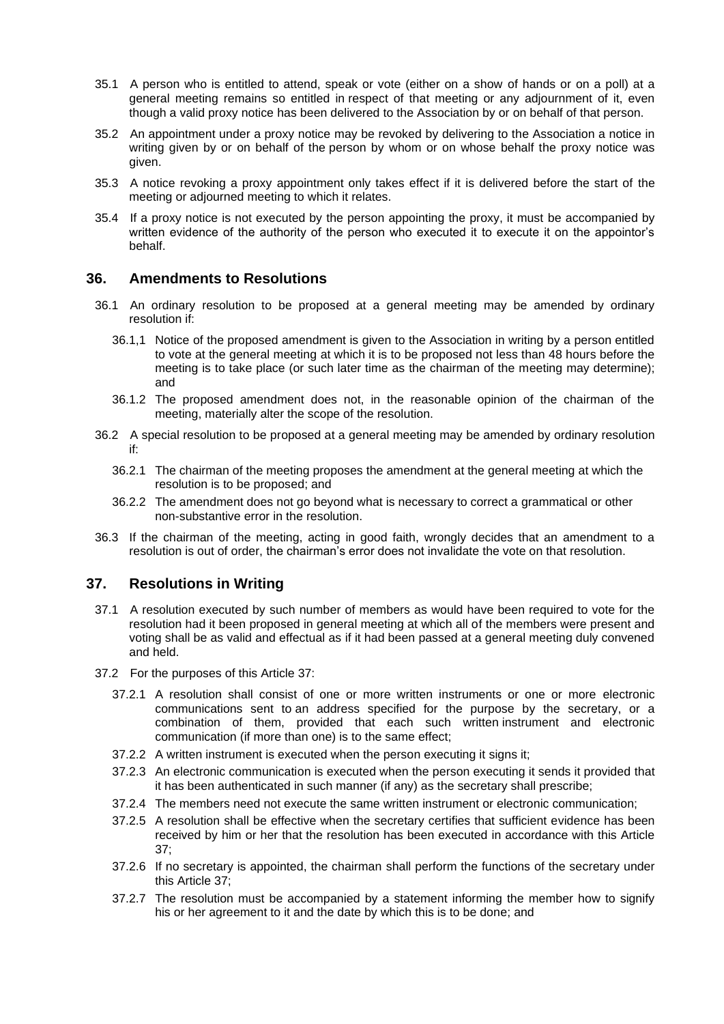- 35.1 A person who is entitled to attend, speak or vote (either on a show of hands or on a poll) at a general meeting remains so entitled in respect of that meeting or any adjournment of it, even though a valid proxy notice has been delivered to the Association by or on behalf of that person.
- 35.2 An appointment under a proxy notice may be revoked by delivering to the Association a notice in writing given by or on behalf of the person by whom or on whose behalf the proxy notice was given.
- 35.3 A notice revoking a proxy appointment only takes effect if it is delivered before the start of the meeting or adjourned meeting to which it relates.
- 35.4 If a proxy notice is not executed by the person appointing the proxy, it must be accompanied by written evidence of the authority of the person who executed it to execute it on the appointor's behalf.

#### **36. Amendments to Resolutions**

- 36.1 An ordinary resolution to be proposed at a general meeting may be amended by ordinary resolution if:
	- 36.1,1 Notice of the proposed amendment is given to the Association in writing by a person entitled to vote at the general meeting at which it is to be proposed not less than 48 hours before the meeting is to take place (or such later time as the chairman of the meeting may determine); and
	- 36.1.2 The proposed amendment does not, in the reasonable opinion of the chairman of the meeting, materially alter the scope of the resolution.
- 36.2 A special resolution to be proposed at a general meeting may be amended by ordinary resolution if:
	- 36.2.1 The chairman of the meeting proposes the amendment at the general meeting at which the resolution is to be proposed; and
	- 36.2.2 The amendment does not go beyond what is necessary to correct a grammatical or other non-substantive error in the resolution.
- 36.3 If the chairman of the meeting, acting in good faith, wrongly decides that an amendment to a resolution is out of order, the chairman's error does not invalidate the vote on that resolution.

#### **37. Resolutions in Writing**

- 37.1 A resolution executed by such number of members as would have been required to vote for the resolution had it been proposed in general meeting at which all of the members were present and voting shall be as valid and effectual as if it had been passed at a general meeting duly convened and held.
- 37.2 For the purposes of this Article 37:
	- 37.2.1 A resolution shall consist of one or more written instruments or one or more electronic communications sent to an address specified for the purpose by the secretary, or a combination of them, provided that each such written instrument and electronic communication (if more than one) is to the same effect;
	- 37.2.2 A written instrument is executed when the person executing it signs it;
	- 37.2.3 An electronic communication is executed when the person executing it sends it provided that it has been authenticated in such manner (if any) as the secretary shall prescribe;
	- 37.2.4 The members need not execute the same written instrument or electronic communication;
	- 37.2.5 A resolution shall be effective when the secretary certifies that sufficient evidence has been received by him or her that the resolution has been executed in accordance with this Article 37;
	- 37.2.6 If no secretary is appointed, the chairman shall perform the functions of the secretary under this Article 37;
	- 37.2.7 The resolution must be accompanied by a statement informing the member how to signify his or her agreement to it and the date by which this is to be done; and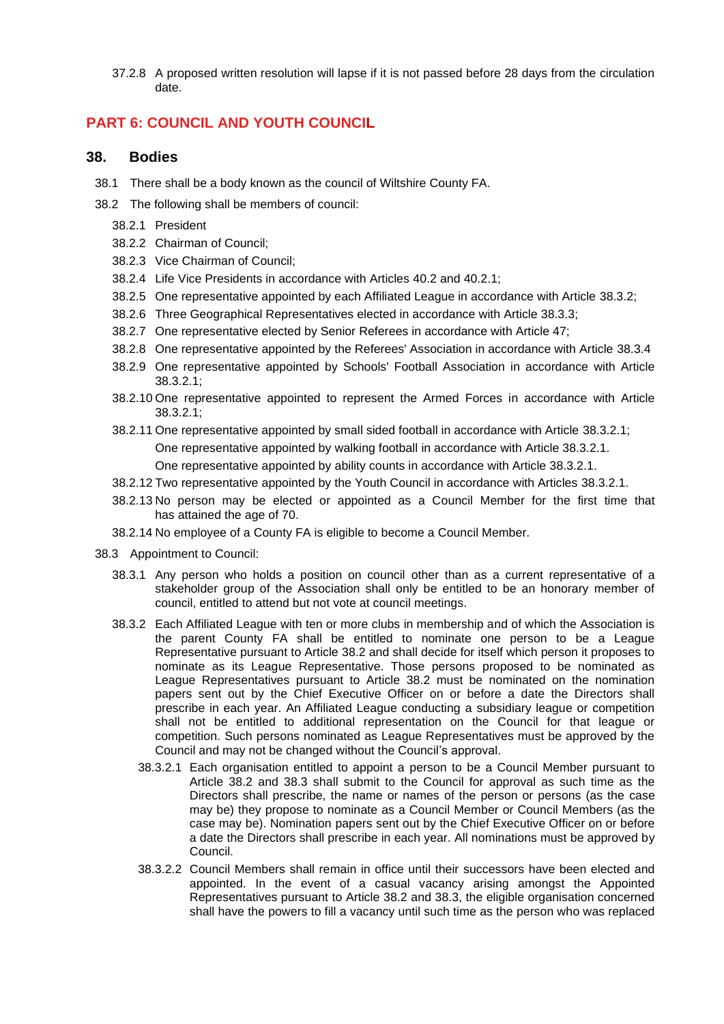37.2.8 A proposed written resolution will lapse if it is not passed before 28 days from the circulation date.

# **PART 6: COUNCIL AND YOUTH COUNCIL**

#### **38. Bodies**

- 38.1 There shall be a body known as the council of Wiltshire County FA.
- 38.2 The following shall be members of council:
	- 38.2.1 President
	- 38.2.2 Chairman of Council;
	- 38.2.3 Vice Chairman of Council;
	- 38.2.4 Life Vice Presidents in accordance with Articles 40.2 and 40.2.1;
	- 38.2.5 One representative appointed by each Affiliated League in accordance with Article 38.3.2;
	- 38.2.6 Three Geographical Representatives elected in accordance with Article 38.3.3;
	- 38.2.7 One representative elected by Senior Referees in accordance with Article 47;
	- 38.2.8 One representative appointed by the Referees' Association in accordance with Article 38.3.4
	- 38.2.9 One representative appointed by Schools' Football Association in accordance with Article 38.3.2.1;
	- 38.2.10 One representative appointed to represent the Armed Forces in accordance with Article 38.3.2.1;
	- 38.2.11 One representative appointed by small sided football in accordance with Article 38.3.2.1; One representative appointed by walking football in accordance with Article 38.3.2.1. One representative appointed by ability counts in accordance with Article 38.3.2.1.
	- 38.2.12 Two representative appointed by the Youth Council in accordance with Articles 38.3.2.1.
	- 38.2.13 No person may be elected or appointed as a Council Member for the first time that has attained the age of 70.
	- 38.2.14 No employee of a County FA is eligible to become a Council Member.
- 38.3 Appointment to Council:
	- 38.3.1 Any person who holds a position on council other than as a current representative of a stakeholder group of the Association shall only be entitled to be an honorary member of council, entitled to attend but not vote at council meetings.
	- 38.3.2 Each Affiliated League with ten or more clubs in membership and of which the Association is the parent County FA shall be entitled to nominate one person to be a League Representative pursuant to Article 38.2 and shall decide for itself which person it proposes to nominate as its League Representative. Those persons proposed to be nominated as League Representatives pursuant to Article 38.2 must be nominated on the nomination papers sent out by the Chief Executive Officer on or before a date the Directors shall prescribe in each year. An Affiliated League conducting a subsidiary league or competition shall not be entitled to additional representation on the Council for that league or competition. Such persons nominated as League Representatives must be approved by the Council and may not be changed without the Council's approval.
		- 38.3.2.1 Each organisation entitled to appoint a person to be a Council Member pursuant to Article 38.2 and 38.3 shall submit to the Council for approval as such time as the Directors shall prescribe, the name or names of the person or persons (as the case may be) they propose to nominate as a Council Member or Council Members (as the case may be). Nomination papers sent out by the Chief Executive Officer on or before a date the Directors shall prescribe in each year. All nominations must be approved by Council.
		- 38.3.2.2 Council Members shall remain in office until their successors have been elected and appointed. In the event of a casual vacancy arising amongst the Appointed Representatives pursuant to Article 38.2 and 38.3, the eligible organisation concerned shall have the powers to fill a vacancy until such time as the person who was replaced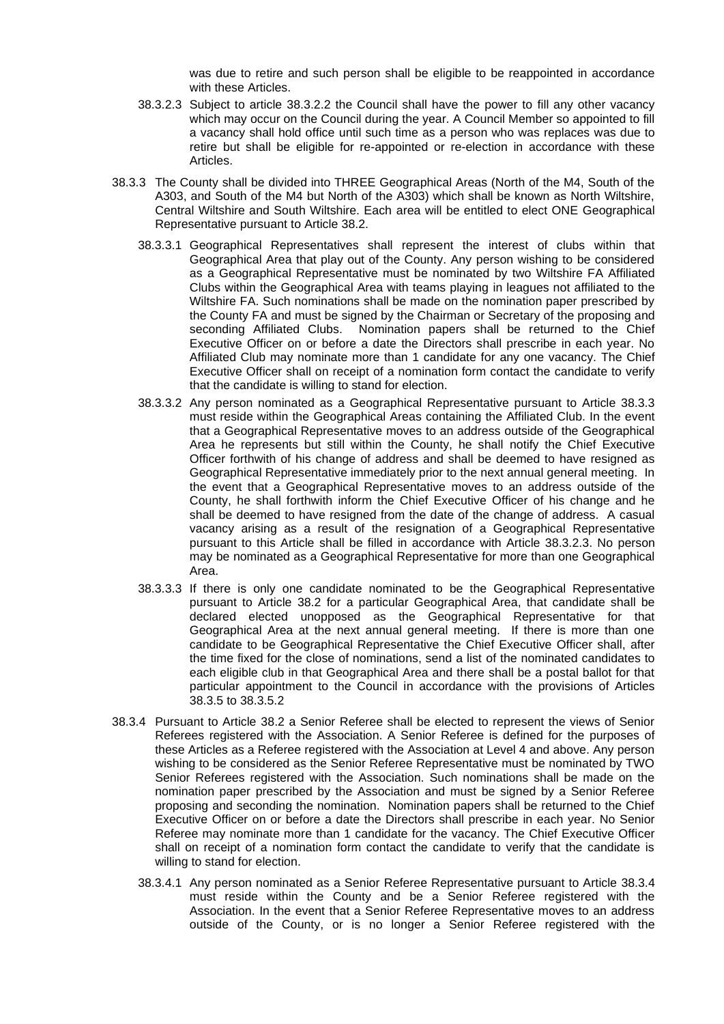was due to retire and such person shall be eligible to be reappointed in accordance with these Articles.

- 38.3.2.3 Subject to article 38.3.2.2 the Council shall have the power to fill any other vacancy which may occur on the Council during the year. A Council Member so appointed to fill a vacancy shall hold office until such time as a person who was replaces was due to retire but shall be eligible for re-appointed or re-election in accordance with these Articles.
- 38.3.3 The County shall be divided into THREE Geographical Areas (North of the M4, South of the A303, and South of the M4 but North of the A303) which shall be known as North Wiltshire, Central Wiltshire and South Wiltshire. Each area will be entitled to elect ONE Geographical Representative pursuant to Article 38.2.
	- 38.3.3.1 Geographical Representatives shall represent the interest of clubs within that Geographical Area that play out of the County. Any person wishing to be considered as a Geographical Representative must be nominated by two Wiltshire FA Affiliated Clubs within the Geographical Area with teams playing in leagues not affiliated to the Wiltshire FA. Such nominations shall be made on the nomination paper prescribed by the County FA and must be signed by the Chairman or Secretary of the proposing and seconding Affiliated Clubs. Nomination papers shall be returned to the Chief Executive Officer on or before a date the Directors shall prescribe in each year. No Affiliated Club may nominate more than 1 candidate for any one vacancy. The Chief Executive Officer shall on receipt of a nomination form contact the candidate to verify that the candidate is willing to stand for election.
	- 38.3.3.2 Any person nominated as a Geographical Representative pursuant to Article 38.3.3 must reside within the Geographical Areas containing the Affiliated Club. In the event that a Geographical Representative moves to an address outside of the Geographical Area he represents but still within the County, he shall notify the Chief Executive Officer forthwith of his change of address and shall be deemed to have resigned as Geographical Representative immediately prior to the next annual general meeting. In the event that a Geographical Representative moves to an address outside of the County, he shall forthwith inform the Chief Executive Officer of his change and he shall be deemed to have resigned from the date of the change of address. A casual vacancy arising as a result of the resignation of a Geographical Representative pursuant to this Article shall be filled in accordance with Article 38.3.2.3. No person may be nominated as a Geographical Representative for more than one Geographical Area.
	- 38.3.3.3 If there is only one candidate nominated to be the Geographical Representative pursuant to Article 38.2 for a particular Geographical Area, that candidate shall be declared elected unopposed as the Geographical Representative for that Geographical Area at the next annual general meeting. If there is more than one candidate to be Geographical Representative the Chief Executive Officer shall, after the time fixed for the close of nominations, send a list of the nominated candidates to each eligible club in that Geographical Area and there shall be a postal ballot for that particular appointment to the Council in accordance with the provisions of Articles 38.3.5 to 38.3.5.2
- 38.3.4 Pursuant to Article 38.2 a Senior Referee shall be elected to represent the views of Senior Referees registered with the Association. A Senior Referee is defined for the purposes of these Articles as a Referee registered with the Association at Level 4 and above. Any person wishing to be considered as the Senior Referee Representative must be nominated by TWO Senior Referees registered with the Association. Such nominations shall be made on the nomination paper prescribed by the Association and must be signed by a Senior Referee proposing and seconding the nomination. Nomination papers shall be returned to the Chief Executive Officer on or before a date the Directors shall prescribe in each year. No Senior Referee may nominate more than 1 candidate for the vacancy. The Chief Executive Officer shall on receipt of a nomination form contact the candidate to verify that the candidate is willing to stand for election.
	- 38.3.4.1 Any person nominated as a Senior Referee Representative pursuant to Article 38.3.4 must reside within the County and be a Senior Referee registered with the Association. In the event that a Senior Referee Representative moves to an address outside of the County, or is no longer a Senior Referee registered with the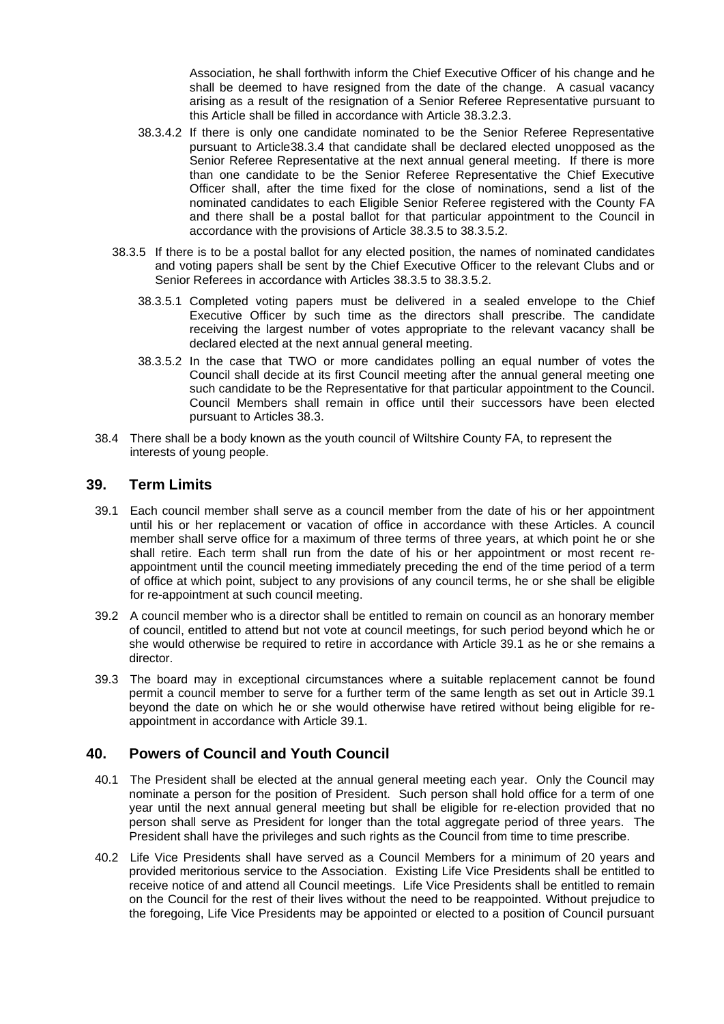Association, he shall forthwith inform the Chief Executive Officer of his change and he shall be deemed to have resigned from the date of the change. A casual vacancy arising as a result of the resignation of a Senior Referee Representative pursuant to this Article shall be filled in accordance with Article 38.3.2.3.

- 38.3.4.2 If there is only one candidate nominated to be the Senior Referee Representative pursuant to Article38.3.4 that candidate shall be declared elected unopposed as the Senior Referee Representative at the next annual general meeting. If there is more than one candidate to be the Senior Referee Representative the Chief Executive Officer shall, after the time fixed for the close of nominations, send a list of the nominated candidates to each Eligible Senior Referee registered with the County FA and there shall be a postal ballot for that particular appointment to the Council in accordance with the provisions of Article 38.3.5 to 38.3.5.2.
- 38.3.5 If there is to be a postal ballot for any elected position, the names of nominated candidates and voting papers shall be sent by the Chief Executive Officer to the relevant Clubs and or Senior Referees in accordance with Articles 38.3.5 to 38.3.5.2.
	- 38.3.5.1 Completed voting papers must be delivered in a sealed envelope to the Chief Executive Officer by such time as the directors shall prescribe. The candidate receiving the largest number of votes appropriate to the relevant vacancy shall be declared elected at the next annual general meeting.
	- 38.3.5.2 In the case that TWO or more candidates polling an equal number of votes the Council shall decide at its first Council meeting after the annual general meeting one such candidate to be the Representative for that particular appointment to the Council. Council Members shall remain in office until their successors have been elected pursuant to Articles 38.3.
- 38.4 There shall be a body known as the youth council of Wiltshire County FA, to represent the interests of young people.

#### **39. Term Limits**

- 39.1 Each council member shall serve as a council member from the date of his or her appointment until his or her replacement or vacation of office in accordance with these Articles. A council member shall serve office for a maximum of three terms of three years, at which point he or she shall retire. Each term shall run from the date of his or her appointment or most recent reappointment until the council meeting immediately preceding the end of the time period of a term of office at which point, subject to any provisions of any council terms, he or she shall be eligible for re-appointment at such council meeting.
- 39.2 A council member who is a director shall be entitled to remain on council as an honorary member of council, entitled to attend but not vote at council meetings, for such period beyond which he or she would otherwise be required to retire in accordance with Article 39.1 as he or she remains a director.
- 39.3 The board may in exceptional circumstances where a suitable replacement cannot be found permit a council member to serve for a further term of the same length as set out in Article 39.1 beyond the date on which he or she would otherwise have retired without being eligible for reappointment in accordance with Article 39.1.

#### **40. Powers of Council and Youth Council**

- 40.1 The President shall be elected at the annual general meeting each year. Only the Council may nominate a person for the position of President. Such person shall hold office for a term of one year until the next annual general meeting but shall be eligible for re-election provided that no person shall serve as President for longer than the total aggregate period of three years. The President shall have the privileges and such rights as the Council from time to time prescribe.
- 40.2 Life Vice Presidents shall have served as a Council Members for a minimum of 20 years and provided meritorious service to the Association. Existing Life Vice Presidents shall be entitled to receive notice of and attend all Council meetings. Life Vice Presidents shall be entitled to remain on the Council for the rest of their lives without the need to be reappointed. Without prejudice to the foregoing, Life Vice Presidents may be appointed or elected to a position of Council pursuant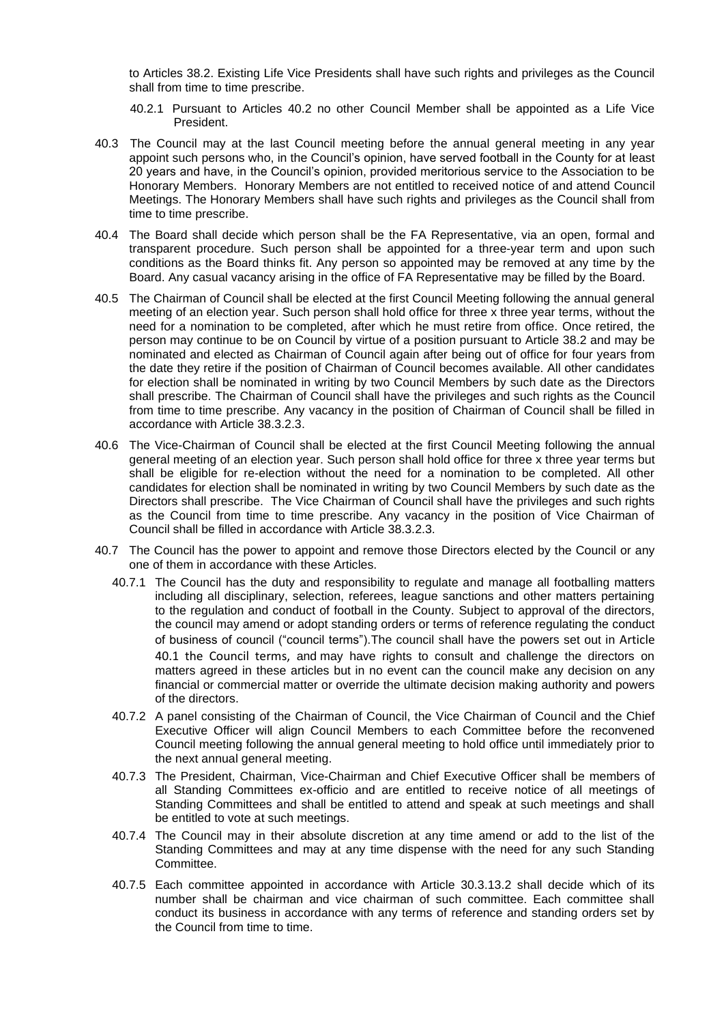to Articles 38.2. Existing Life Vice Presidents shall have such rights and privileges as the Council shall from time to time prescribe.

- 40.2.1 Pursuant to Articles 40.2 no other Council Member shall be appointed as a Life Vice President.
- 40.3 The Council may at the last Council meeting before the annual general meeting in any year appoint such persons who, in the Council's opinion, have served football in the County for at least 20 years and have, in the Council's opinion, provided meritorious service to the Association to be Honorary Members. Honorary Members are not entitled to received notice of and attend Council Meetings. The Honorary Members shall have such rights and privileges as the Council shall from time to time prescribe.
- 40.4 The Board shall decide which person shall be the FA Representative, via an open, formal and transparent procedure. Such person shall be appointed for a three-year term and upon such conditions as the Board thinks fit. Any person so appointed may be removed at any time by the Board. Any casual vacancy arising in the office of FA Representative may be filled by the Board.
- 40.5 The Chairman of Council shall be elected at the first Council Meeting following the annual general meeting of an election year. Such person shall hold office for three x three year terms, without the need for a nomination to be completed, after which he must retire from office. Once retired, the person may continue to be on Council by virtue of a position pursuant to Article 38.2 and may be nominated and elected as Chairman of Council again after being out of office for four years from the date they retire if the position of Chairman of Council becomes available. All other candidates for election shall be nominated in writing by two Council Members by such date as the Directors shall prescribe. The Chairman of Council shall have the privileges and such rights as the Council from time to time prescribe. Any vacancy in the position of Chairman of Council shall be filled in accordance with Article 38.3.2.3.
- 40.6 The Vice-Chairman of Council shall be elected at the first Council Meeting following the annual general meeting of an election year. Such person shall hold office for three x three year terms but shall be eligible for re-election without the need for a nomination to be completed. All other candidates for election shall be nominated in writing by two Council Members by such date as the Directors shall prescribe. The Vice Chairman of Council shall have the privileges and such rights as the Council from time to time prescribe. Any vacancy in the position of Vice Chairman of Council shall be filled in accordance with Article 38.3.2.3.
- 40.7 The Council has the power to appoint and remove those Directors elected by the Council or any one of them in accordance with these Articles.
	- 40.7.1 The Council has the duty and responsibility to regulate and manage all footballing matters including all disciplinary, selection, referees, league sanctions and other matters pertaining to the regulation and conduct of football in the County. Subject to approval of the directors, the council may amend or adopt standing orders or terms of reference regulating the conduct of business of council ("council terms").The council shall have the powers set out in Article 40.1 the Council terms, and may have rights to consult and challenge the directors on matters agreed in these articles but in no event can the council make any decision on any financial or commercial matter or override the ultimate decision making authority and powers of the directors.
	- 40.7.2 A panel consisting of the Chairman of Council, the Vice Chairman of Council and the Chief Executive Officer will align Council Members to each Committee before the reconvened Council meeting following the annual general meeting to hold office until immediately prior to the next annual general meeting.
	- 40.7.3 The President, Chairman, Vice-Chairman and Chief Executive Officer shall be members of all Standing Committees ex-officio and are entitled to receive notice of all meetings of Standing Committees and shall be entitled to attend and speak at such meetings and shall be entitled to vote at such meetings.
	- 40.7.4 The Council may in their absolute discretion at any time amend or add to the list of the Standing Committees and may at any time dispense with the need for any such Standing Committee.
	- 40.7.5 Each committee appointed in accordance with Article 30.3.13.2 shall decide which of its number shall be chairman and vice chairman of such committee. Each committee shall conduct its business in accordance with any terms of reference and standing orders set by the Council from time to time.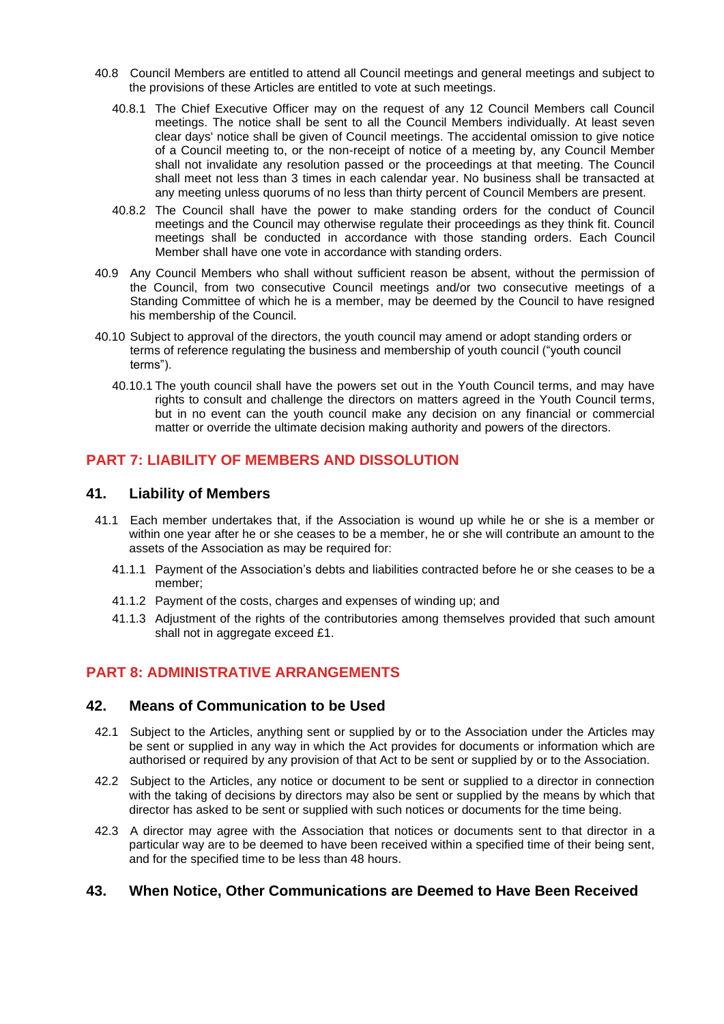- 40.8 Council Members are entitled to attend all Council meetings and general meetings and subject to the provisions of these Articles are entitled to vote at such meetings.
	- 40.8.1 The Chief Executive Officer may on the request of any 12 Council Members call Council meetings. The notice shall be sent to all the Council Members individually. At least seven clear days' notice shall be given of Council meetings. The accidental omission to give notice of a Council meeting to, or the non-receipt of notice of a meeting by, any Council Member shall not invalidate any resolution passed or the proceedings at that meeting. The Council shall meet not less than 3 times in each calendar year. No business shall be transacted at any meeting unless quorums of no less than thirty percent of Council Members are present.
	- 40.8.2 The Council shall have the power to make standing orders for the conduct of Council meetings and the Council may otherwise regulate their proceedings as they think fit. Council meetings shall be conducted in accordance with those standing orders. Each Council Member shall have one vote in accordance with standing orders.
- 40.9 Any Council Members who shall without sufficient reason be absent, without the permission of the Council, from two consecutive Council meetings and/or two consecutive meetings of a Standing Committee of which he is a member, may be deemed by the Council to have resigned his membership of the Council.
- 40.10 Subject to approval of the directors, the youth council may amend or adopt standing orders or terms of reference regulating the business and membership of youth council ("youth council terms").
	- 40.10.1 The youth council shall have the powers set out in the Youth Council terms, and may have rights to consult and challenge the directors on matters agreed in the Youth Council terms, but in no event can the youth council make any decision on any financial or commercial matter or override the ultimate decision making authority and powers of the directors.

# **PART 7: LIABILITY OF MEMBERS AND DISSOLUTION**

#### **41. Liability of Members**

- 41.1 Each member undertakes that, if the Association is wound up while he or she is a member or within one year after he or she ceases to be a member, he or she will contribute an amount to the assets of the Association as may be required for:
	- 41.1.1 Payment of the Association's debts and liabilities contracted before he or she ceases to be a member;
	- 41.1.2 Payment of the costs, charges and expenses of winding up; and
	- 41.1.3 Adjustment of the rights of the contributories among themselves provided that such amount shall not in aggregate exceed £1.

# **PART 8: ADMINISTRATIVE ARRANGEMENTS**

#### **42. Means of Communication to be Used**

- 42.1 Subject to the Articles, anything sent or supplied by or to the Association under the Articles may be sent or supplied in any way in which the Act provides for documents or information which are authorised or required by any provision of that Act to be sent or supplied by or to the Association.
- 42.2 Subject to the Articles, any notice or document to be sent or supplied to a director in connection with the taking of decisions by directors may also be sent or supplied by the means by which that director has asked to be sent or supplied with such notices or documents for the time being.
- 42.3 A director may agree with the Association that notices or documents sent to that director in a particular way are to be deemed to have been received within a specified time of their being sent, and for the specified time to be less than 48 hours.

#### **43. When Notice, Other Communications are Deemed to Have Been Received**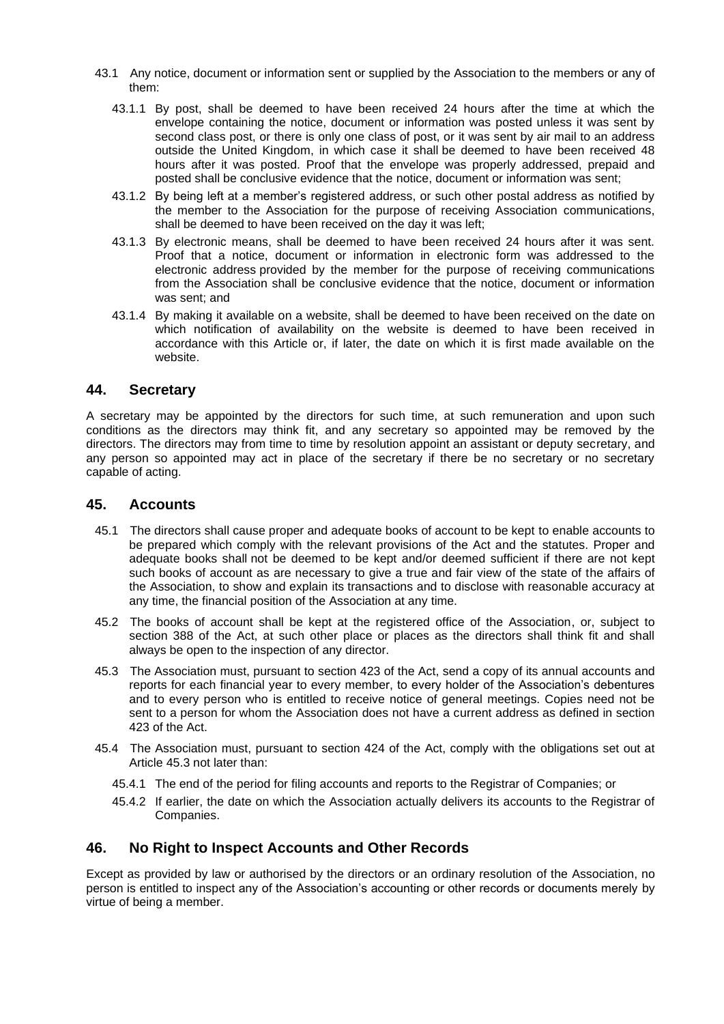- 43.1 Any notice, document or information sent or supplied by the Association to the members or any of them:
	- 43.1.1 By post, shall be deemed to have been received 24 hours after the time at which the envelope containing the notice, document or information was posted unless it was sent by second class post, or there is only one class of post, or it was sent by air mail to an address outside the United Kingdom, in which case it shall be deemed to have been received 48 hours after it was posted. Proof that the envelope was properly addressed, prepaid and posted shall be conclusive evidence that the notice, document or information was sent;
	- 43.1.2 By being left at a member's registered address, or such other postal address as notified by the member to the Association for the purpose of receiving Association communications, shall be deemed to have been received on the day it was left;
	- 43.1.3 By electronic means, shall be deemed to have been received 24 hours after it was sent. Proof that a notice, document or information in electronic form was addressed to the electronic address provided by the member for the purpose of receiving communications from the Association shall be conclusive evidence that the notice, document or information was sent; and
	- 43.1.4 By making it available on a website, shall be deemed to have been received on the date on which notification of availability on the website is deemed to have been received in accordance with this Article or, if later, the date on which it is first made available on the website.

#### **44. Secretary**

A secretary may be appointed by the directors for such time, at such remuneration and upon such conditions as the directors may think fit, and any secretary so appointed may be removed by the directors. The directors may from time to time by resolution appoint an assistant or deputy secretary, and any person so appointed may act in place of the secretary if there be no secretary or no secretary capable of acting.

#### **45. Accounts**

- 45.1 The directors shall cause proper and adequate books of account to be kept to enable accounts to be prepared which comply with the relevant provisions of the Act and the statutes. Proper and adequate books shall not be deemed to be kept and/or deemed sufficient if there are not kept such books of account as are necessary to give a true and fair view of the state of the affairs of the Association, to show and explain its transactions and to disclose with reasonable accuracy at any time, the financial position of the Association at any time.
- 45.2 The books of account shall be kept at the registered office of the Association, or, subject to section 388 of the Act, at such other place or places as the directors shall think fit and shall always be open to the inspection of any director.
- 45.3 The Association must, pursuant to section 423 of the Act, send a copy of its annual accounts and reports for each financial year to every member, to every holder of the Association's debentures and to every person who is entitled to receive notice of general meetings. Copies need not be sent to a person for whom the Association does not have a current address as defined in section 423 of the Act.
- 45.4 The Association must, pursuant to section 424 of the Act, comply with the obligations set out at Article 45.3 not later than:
	- 45.4.1 The end of the period for filing accounts and reports to the Registrar of Companies; or
	- 45.4.2 If earlier, the date on which the Association actually delivers its accounts to the Registrar of Companies.

#### **46. No Right to Inspect Accounts and Other Records**

Except as provided by law or authorised by the directors or an ordinary resolution of the Association, no person is entitled to inspect any of the Association's accounting or other records or documents merely by virtue of being a member.